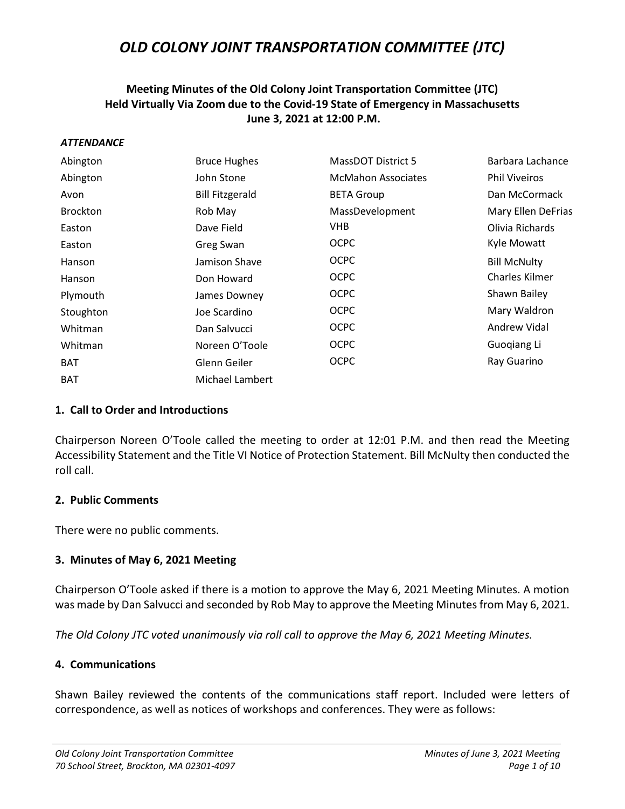## **Meeting Minutes of the Old Colony Joint Transportation Committee (JTC) Held Virtually Via Zoom due to the Covid-19 State of Emergency in Massachusetts June 3, 2021 at 12:00 P.M.**

#### *ATTENDANCE*

| Abington        | <b>Bruce Hughes</b>    | MassDOT District 5        | Barbara Lachance      |
|-----------------|------------------------|---------------------------|-----------------------|
| Abington        | John Stone             | <b>McMahon Associates</b> | <b>Phil Viveiros</b>  |
| Avon            | <b>Bill Fitzgerald</b> | <b>BETA Group</b>         | Dan McCormack         |
| <b>Brockton</b> | Rob May                | MassDevelopment           | Mary Ellen DeFrias    |
| Easton          | Dave Field             | VHB.                      | Olivia Richards       |
| Easton          | Greg Swan              | <b>OCPC</b>               | <b>Kyle Mowatt</b>    |
| Hanson          | Jamison Shave          | <b>OCPC</b>               | <b>Bill McNulty</b>   |
| Hanson          | Don Howard             | <b>OCPC</b>               | <b>Charles Kilmer</b> |
| Plymouth        | James Downey           | <b>OCPC</b>               | Shawn Bailey          |
| Stoughton       | Joe Scardino           | <b>OCPC</b>               | Mary Waldron          |
| Whitman         | Dan Salvucci           | <b>OCPC</b>               | Andrew Vidal          |
| Whitman         | Noreen O'Toole         | <b>OCPC</b>               | Guogiang Li           |
| <b>BAT</b>      | Glenn Geiler           | <b>OCPC</b>               | Ray Guarino           |
| <b>BAT</b>      | Michael Lambert        |                           |                       |

### **1. Call to Order and Introductions**

Chairperson Noreen O'Toole called the meeting to order at 12:01 P.M. and then read the Meeting Accessibility Statement and the Title VI Notice of Protection Statement. Bill McNulty then conducted the roll call.

### **2. Public Comments**

There were no public comments.

### **3. Minutes of May 6, 2021 Meeting**

Chairperson O'Toole asked if there is a motion to approve the May 6, 2021 Meeting Minutes. A motion was made by Dan Salvucci and seconded by Rob May to approve the Meeting Minutes from May 6, 2021.

*The Old Colony JTC voted unanimously via roll call to approve the May 6, 2021 Meeting Minutes.*

### **4. Communications**

Shawn Bailey reviewed the contents of the communications staff report. Included were letters of correspondence, as well as notices of workshops and conferences. They were as follows: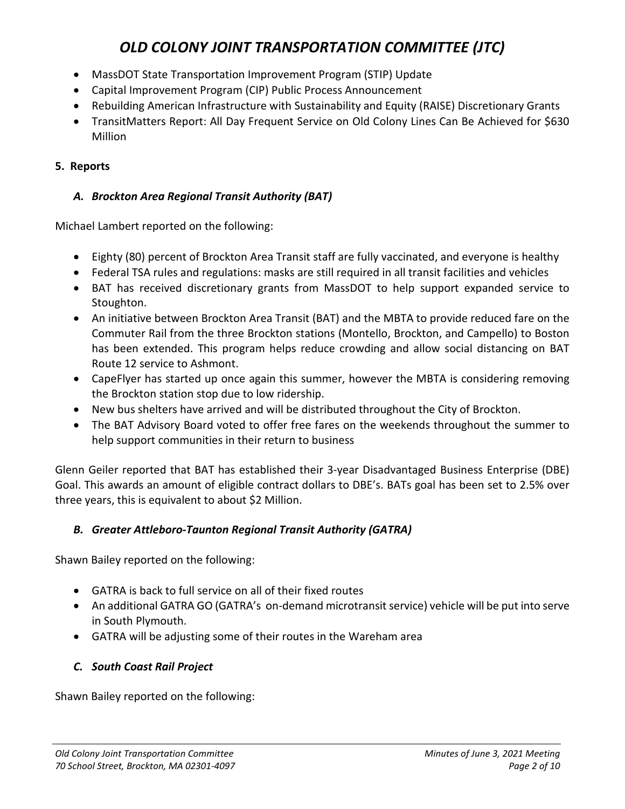- MassDOT State Transportation Improvement Program (STIP) Update
- Capital Improvement Program (CIP) Public Process Announcement
- Rebuilding American Infrastructure with Sustainability and Equity (RAISE) Discretionary Grants
- TransitMatters Report: All Day Frequent Service on Old Colony Lines Can Be Achieved for \$630 Million

## **5. Reports**

## *A. Brockton Area Regional Transit Authority (BAT)*

Michael Lambert reported on the following:

- Eighty (80) percent of Brockton Area Transit staff are fully vaccinated, and everyone is healthy
- Federal TSA rules and regulations: masks are still required in all transit facilities and vehicles
- BAT has received discretionary grants from MassDOT to help support expanded service to Stoughton.
- An initiative between Brockton Area Transit (BAT) and the MBTA to provide reduced fare on the Commuter Rail from the three Brockton stations (Montello, Brockton, and Campello) to Boston has been extended. This program helps reduce crowding and allow social distancing on BAT Route 12 service to Ashmont.
- CapeFlyer has started up once again this summer, however the MBTA is considering removing the Brockton station stop due to low ridership.
- New bus shelters have arrived and will be distributed throughout the City of Brockton.
- The BAT Advisory Board voted to offer free fares on the weekends throughout the summer to help support communities in their return to business

Glenn Geiler reported that BAT has established their 3-year Disadvantaged Business Enterprise (DBE) Goal. This awards an amount of eligible contract dollars to DBE's. BATs goal has been set to 2.5% over three years, this is equivalent to about \$2 Million.

## *B. Greater Attleboro-Taunton Regional Transit Authority (GATRA)*

Shawn Bailey reported on the following:

- GATRA is back to full service on all of their fixed routes
- An additional GATRA GO (GATRA's on-demand microtransit service) vehicle will be put into serve in South Plymouth.
- GATRA will be adjusting some of their routes in the Wareham area

## *C. South Coast Rail Project*

Shawn Bailey reported on the following: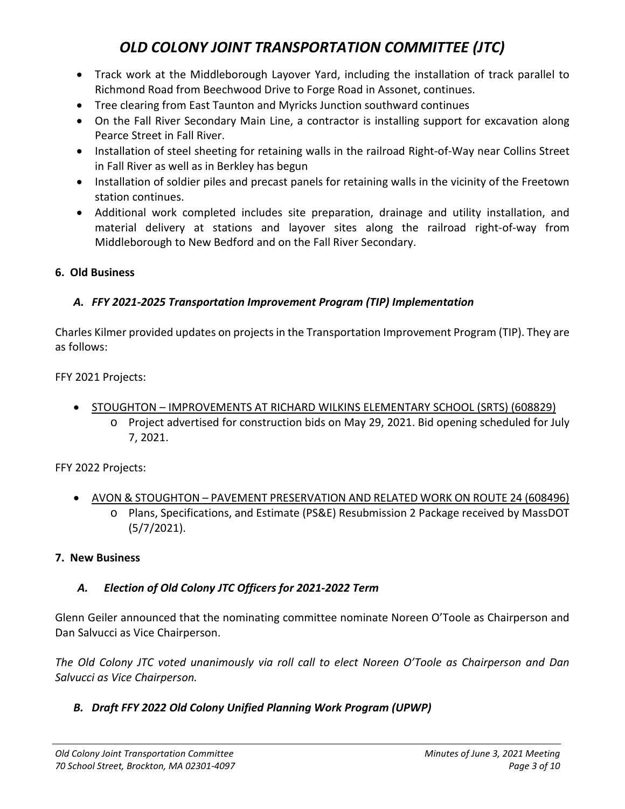- Track work at the Middleborough Layover Yard, including the installation of track parallel to Richmond Road from Beechwood Drive to Forge Road in Assonet, continues.
- Tree clearing from East Taunton and Myricks Junction southward continues
- On the Fall River Secondary Main Line, a contractor is installing support for excavation along Pearce Street in Fall River.
- Installation of steel sheeting for retaining walls in the railroad Right-of-Way near Collins Street in Fall River as well as in Berkley has begun
- Installation of soldier piles and precast panels for retaining walls in the vicinity of the Freetown station continues.
- Additional work completed includes site preparation, drainage and utility installation, and material delivery at stations and layover sites along the railroad right-of-way from Middleborough to New Bedford and on the Fall River Secondary.

## **6. Old Business**

## *A. FFY 2021-2025 Transportation Improvement Program (TIP) Implementation*

Charles Kilmer provided updates on projects in the Transportation Improvement Program (TIP). They are as follows:

FFY 2021 Projects:

- STOUGHTON IMPROVEMENTS AT RICHARD WILKINS ELEMENTARY SCHOOL (SRTS) (608829)
	- o Project advertised for construction bids on May 29, 2021. Bid opening scheduled for July 7, 2021.

FFY 2022 Projects:

• AVON & STOUGHTON – PAVEMENT PRESERVATION AND RELATED WORK ON ROUTE 24 (608496) o Plans, Specifications, and Estimate (PS&E) Resubmission 2 Package received by MassDOT (5/7/2021).

### **7. New Business**

## *A. Election of Old Colony JTC Officers for 2021-2022 Term*

Glenn Geiler announced that the nominating committee nominate Noreen O'Toole as Chairperson and Dan Salvucci as Vice Chairperson.

*The Old Colony JTC voted unanimously via roll call to elect Noreen O'Toole as Chairperson and Dan Salvucci as Vice Chairperson.*

## *B. Draft FFY 2022 Old Colony Unified Planning Work Program (UPWP)*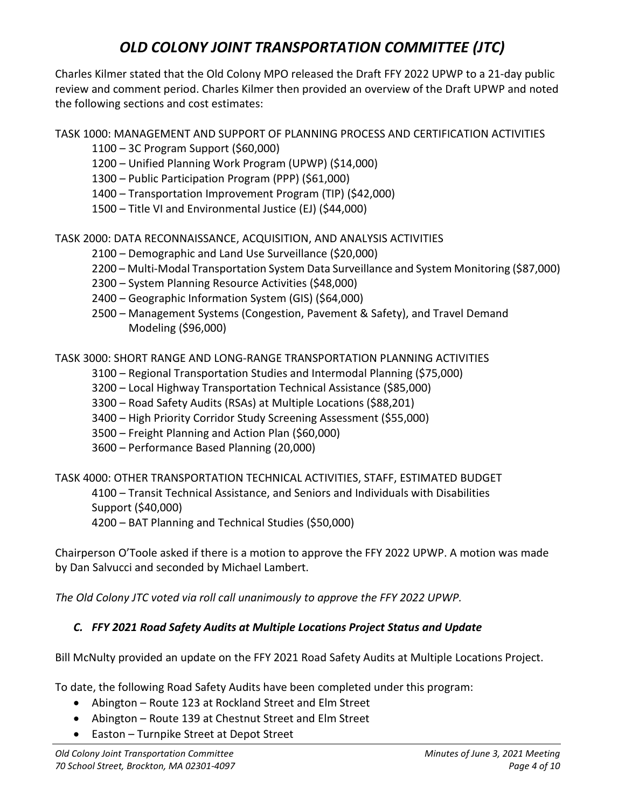Charles Kilmer stated that the Old Colony MPO released the Draft FFY 2022 UPWP to a 21-day public review and comment period. Charles Kilmer then provided an overview of the Draft UPWP and noted the following sections and cost estimates:

TASK 1000: MANAGEMENT AND SUPPORT OF PLANNING PROCESS AND CERTIFICATION ACTIVITIES

- 1100 3C Program Support (\$60,000)
- 1200 Unified Planning Work Program (UPWP) (\$14,000)
- 1300 Public Participation Program (PPP) (\$61,000)
- 1400 Transportation Improvement Program (TIP) (\$42,000)
- 1500 Title VI and Environmental Justice (EJ) (\$44,000)

TASK 2000: DATA RECONNAISSANCE, ACQUISITION, AND ANALYSIS ACTIVITIES

- 2100 Demographic and Land Use Surveillance (\$20,000)
- 2200 Multi-Modal Transportation System Data Surveillance and System Monitoring (\$87,000)
- 2300 System Planning Resource Activities (\$48,000)
- 2400 Geographic Information System (GIS) (\$64,000)
- 2500 Management Systems (Congestion, Pavement & Safety), and Travel Demand Modeling (\$96,000)

TASK 3000: SHORT RANGE AND LONG-RANGE TRANSPORTATION PLANNING ACTIVITIES

- 3100 Regional Transportation Studies and Intermodal Planning (\$75,000)
- 3200 Local Highway Transportation Technical Assistance (\$85,000)
- 3300 Road Safety Audits (RSAs) at Multiple Locations (\$88,201)
- 3400 High Priority Corridor Study Screening Assessment (\$55,000)
- 3500 Freight Planning and Action Plan (\$60,000)
- 3600 Performance Based Planning (20,000)

TASK 4000: OTHER TRANSPORTATION TECHNICAL ACTIVITIES, STAFF, ESTIMATED BUDGET 4100 – Transit Technical Assistance, and Seniors and Individuals with Disabilities Support (\$40,000)

4200 – BAT Planning and Technical Studies (\$50,000)

Chairperson O'Toole asked if there is a motion to approve the FFY 2022 UPWP. A motion was made by Dan Salvucci and seconded by Michael Lambert.

*The Old Colony JTC voted via roll call unanimously to approve the FFY 2022 UPWP.*

## *C. FFY 2021 Road Safety Audits at Multiple Locations Project Status and Update*

Bill McNulty provided an update on the FFY 2021 Road Safety Audits at Multiple Locations Project.

To date, the following Road Safety Audits have been completed under this program:

- Abington Route 123 at Rockland Street and Elm Street
- Abington Route 139 at Chestnut Street and Elm Street
- Easton Turnpike Street at Depot Street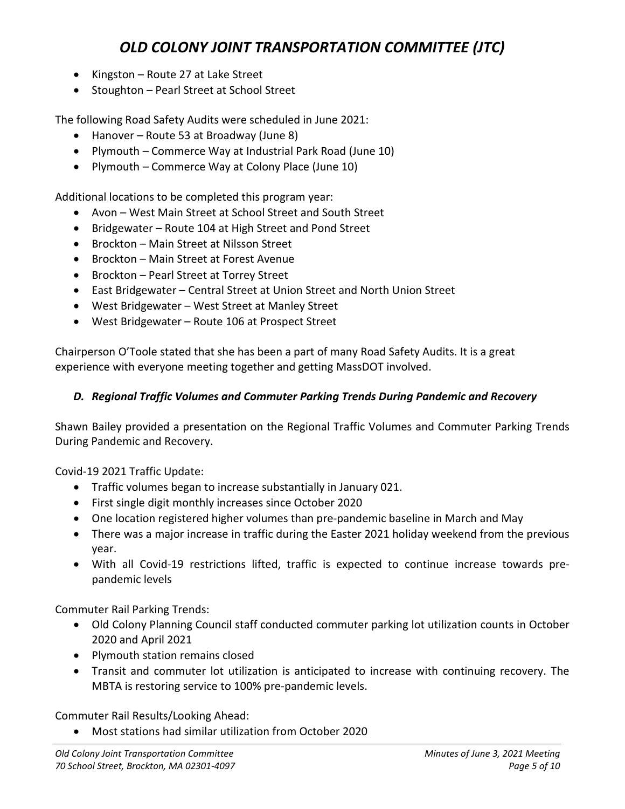- Kingston Route 27 at Lake Street
- Stoughton Pearl Street at School Street

The following Road Safety Audits were scheduled in June 2021:

- Hanover Route 53 at Broadway (June 8)
- Plymouth Commerce Way at Industrial Park Road (June 10)
- Plymouth Commerce Way at Colony Place (June 10)

Additional locations to be completed this program year:

- Avon West Main Street at School Street and South Street
- Bridgewater Route 104 at High Street and Pond Street
- Brockton Main Street at Nilsson Street
- Brockton Main Street at Forest Avenue
- Brockton Pearl Street at Torrey Street
- East Bridgewater Central Street at Union Street and North Union Street
- West Bridgewater West Street at Manley Street
- West Bridgewater Route 106 at Prospect Street

Chairperson O'Toole stated that she has been a part of many Road Safety Audits. It is a great experience with everyone meeting together and getting MassDOT involved.

### *D. Regional Traffic Volumes and Commuter Parking Trends During Pandemic and Recovery*

Shawn Bailey provided a presentation on the Regional Traffic Volumes and Commuter Parking Trends During Pandemic and Recovery.

Covid-19 2021 Traffic Update:

- Traffic volumes began to increase substantially in January 021.
- First single digit monthly increases since October 2020
- One location registered higher volumes than pre-pandemic baseline in March and May
- There was a major increase in traffic during the Easter 2021 holiday weekend from the previous year.
- With all Covid-19 restrictions lifted, traffic is expected to continue increase towards prepandemic levels

Commuter Rail Parking Trends:

- Old Colony Planning Council staff conducted commuter parking lot utilization counts in October 2020 and April 2021
- Plymouth station remains closed
- Transit and commuter lot utilization is anticipated to increase with continuing recovery. The MBTA is restoring service to 100% pre-pandemic levels.

Commuter Rail Results/Looking Ahead:

• Most stations had similar utilization from October 2020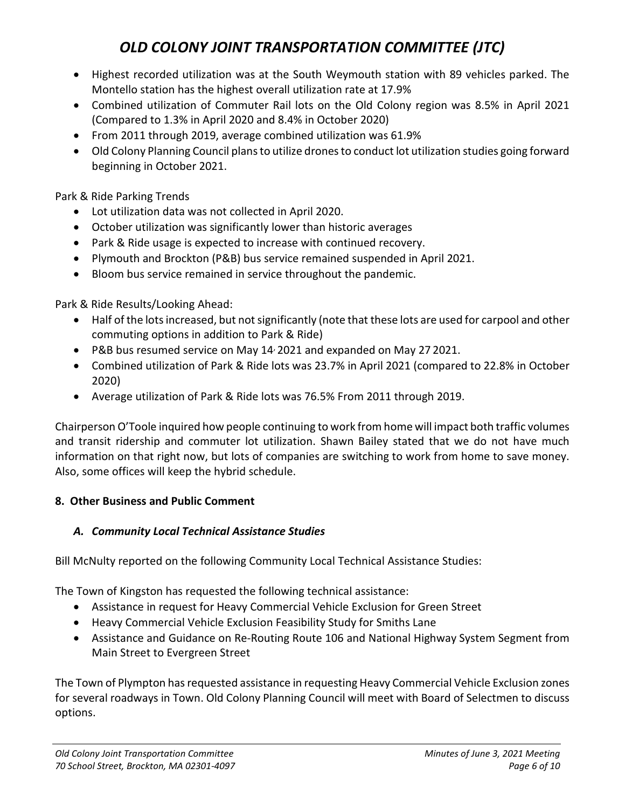- Highest recorded utilization was at the South Weymouth station with 89 vehicles parked. The Montello station has the highest overall utilization rate at 17.9%
- Combined utilization of Commuter Rail lots on the Old Colony region was 8.5% in April 2021 (Compared to 1.3% in April 2020 and 8.4% in October 2020)
- From 2011 through 2019, average combined utilization was 61.9%
- Old Colony Planning Council plans to utilize dronesto conduct lot utilization studies going forward beginning in October 2021.

Park & Ride Parking Trends

- Lot utilization data was not collected in April 2020.
- October utilization was significantly lower than historic averages
- Park & Ride usage is expected to increase with continued recovery.
- Plymouth and Brockton (P&B) bus service remained suspended in April 2021.
- Bloom bus service remained in service throughout the pandemic.

Park & Ride Results/Looking Ahead:

- Half of the lots increased, but not significantly (note that these lots are used for carpool and other commuting options in addition to Park & Ride)
- P&B bus resumed service on May 14, 2021 and expanded on May 27 2021.
- Combined utilization of Park & Ride lots was 23.7% in April 2021 (compared to 22.8% in October 2020)
- Average utilization of Park & Ride lots was 76.5% From 2011 through 2019.

Chairperson O'Toole inquired how people continuing to work from home will impact both traffic volumes and transit ridership and commuter lot utilization. Shawn Bailey stated that we do not have much information on that right now, but lots of companies are switching to work from home to save money. Also, some offices will keep the hybrid schedule.

### **8. Other Business and Public Comment**

## *A. Community Local Technical Assistance Studies*

Bill McNulty reported on the following Community Local Technical Assistance Studies:

The Town of Kingston has requested the following technical assistance:

- Assistance in request for Heavy Commercial Vehicle Exclusion for Green Street
- Heavy Commercial Vehicle Exclusion Feasibility Study for Smiths Lane
- Assistance and Guidance on Re-Routing Route 106 and National Highway System Segment from Main Street to Evergreen Street

The Town of Plympton has requested assistance in requesting Heavy Commercial Vehicle Exclusion zones for several roadways in Town. Old Colony Planning Council will meet with Board of Selectmen to discuss options.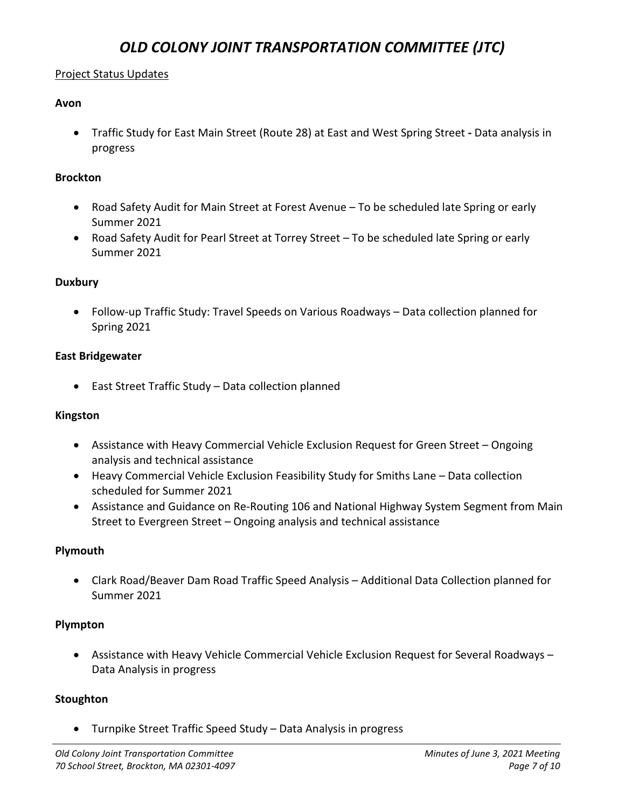### Project Status Updates

### **Avon**

• Traffic Study for East Main Street (Route 28) at East and West Spring Street **-** Data analysis in progress

### **Brockton**

- Road Safety Audit for Main Street at Forest Avenue To be scheduled late Spring or early Summer 2021
- Road Safety Audit for Pearl Street at Torrey Street To be scheduled late Spring or early Summer 2021

### **Duxbury**

• Follow-up Traffic Study: Travel Speeds on Various Roadways – Data collection planned for Spring 2021

### **East Bridgewater**

• East Street Traffic Study – Data collection planned

### **Kingston**

- Assistance with Heavy Commercial Vehicle Exclusion Request for Green Street Ongoing analysis and technical assistance
- Heavy Commercial Vehicle Exclusion Feasibility Study for Smiths Lane Data collection scheduled for Summer 2021
- Assistance and Guidance on Re-Routing 106 and National Highway System Segment from Main Street to Evergreen Street – Ongoing analysis and technical assistance

### **Plymouth**

• Clark Road/Beaver Dam Road Traffic Speed Analysis – Additional Data Collection planned for Summer 2021

### **Plympton**

• Assistance with Heavy Vehicle Commercial Vehicle Exclusion Request for Several Roadways – Data Analysis in progress

### **Stoughton**

• Turnpike Street Traffic Speed Study – Data Analysis in progress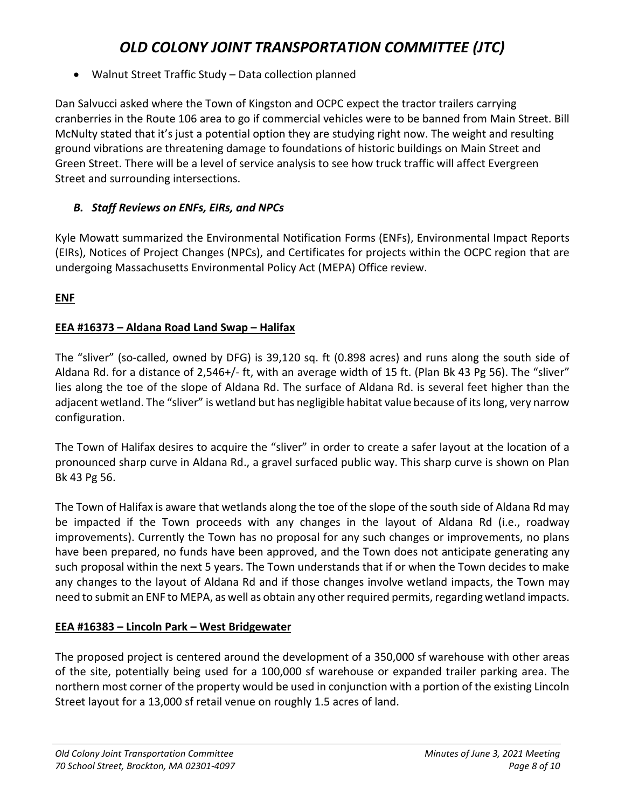• Walnut Street Traffic Study – Data collection planned

Dan Salvucci asked where the Town of Kingston and OCPC expect the tractor trailers carrying cranberries in the Route 106 area to go if commercial vehicles were to be banned from Main Street. Bill McNulty stated that it's just a potential option they are studying right now. The weight and resulting ground vibrations are threatening damage to foundations of historic buildings on Main Street and Green Street. There will be a level of service analysis to see how truck traffic will affect Evergreen Street and surrounding intersections.

## *B. Staff Reviews on ENFs, EIRs, and NPCs*

Kyle Mowatt summarized the Environmental Notification Forms (ENFs), Environmental Impact Reports (EIRs), Notices of Project Changes (NPCs), and Certificates for projects within the OCPC region that are undergoing Massachusetts Environmental Policy Act (MEPA) Office review.

**ENF**

## **EEA #16373 – Aldana Road Land Swap – Halifax**

The "sliver" (so-called, owned by DFG) is 39,120 sq. ft (0.898 acres) and runs along the south side of Aldana Rd. for a distance of 2,546+/- ft, with an average width of 15 ft. (Plan Bk 43 Pg 56). The "sliver" lies along the toe of the slope of Aldana Rd. The surface of Aldana Rd. is several feet higher than the adjacent wetland. The "sliver" is wetland but has negligible habitat value because of its long, very narrow configuration.

The Town of Halifax desires to acquire the "sliver" in order to create a safer layout at the location of a pronounced sharp curve in Aldana Rd., a gravel surfaced public way. This sharp curve is shown on Plan Bk 43 Pg 56.

The Town of Halifax is aware that wetlands along the toe of the slope of the south side of Aldana Rd may be impacted if the Town proceeds with any changes in the layout of Aldana Rd (i.e., roadway improvements). Currently the Town has no proposal for any such changes or improvements, no plans have been prepared, no funds have been approved, and the Town does not anticipate generating any such proposal within the next 5 years. The Town understands that if or when the Town decides to make any changes to the layout of Aldana Rd and if those changes involve wetland impacts, the Town may need to submit an ENF to MEPA, as well as obtain any other required permits, regarding wetland impacts.

## **EEA #16383 – Lincoln Park – West Bridgewater**

The proposed project is centered around the development of a 350,000 sf warehouse with other areas of the site, potentially being used for a 100,000 sf warehouse or expanded trailer parking area. The northern most corner of the property would be used in conjunction with a portion of the existing Lincoln Street layout for a 13,000 sf retail venue on roughly 1.5 acres of land.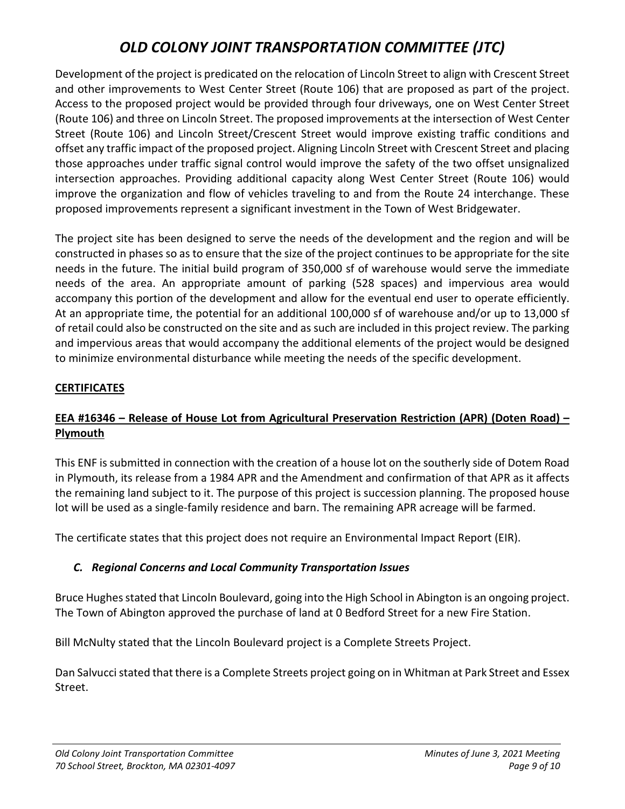Development of the project is predicated on the relocation of Lincoln Street to align with Crescent Street and other improvements to West Center Street (Route 106) that are proposed as part of the project. Access to the proposed project would be provided through four driveways, one on West Center Street (Route 106) and three on Lincoln Street. The proposed improvements at the intersection of West Center Street (Route 106) and Lincoln Street/Crescent Street would improve existing traffic conditions and offset any traffic impact of the proposed project. Aligning Lincoln Street with Crescent Street and placing those approaches under traffic signal control would improve the safety of the two offset unsignalized intersection approaches. Providing additional capacity along West Center Street (Route 106) would improve the organization and flow of vehicles traveling to and from the Route 24 interchange. These proposed improvements represent a significant investment in the Town of West Bridgewater.

The project site has been designed to serve the needs of the development and the region and will be constructed in phases so as to ensure that the size of the project continues to be appropriate for the site needs in the future. The initial build program of 350,000 sf of warehouse would serve the immediate needs of the area. An appropriate amount of parking (528 spaces) and impervious area would accompany this portion of the development and allow for the eventual end user to operate efficiently. At an appropriate time, the potential for an additional 100,000 sf of warehouse and/or up to 13,000 sf of retail could also be constructed on the site and as such are included in this project review. The parking and impervious areas that would accompany the additional elements of the project would be designed to minimize environmental disturbance while meeting the needs of the specific development.

### **CERTIFICATES**

## **EEA #16346 – Release of House Lot from Agricultural Preservation Restriction (APR) (Doten Road) – Plymouth**

This ENF is submitted in connection with the creation of a house lot on the southerly side of Dotem Road in Plymouth, its release from a 1984 APR and the Amendment and confirmation of that APR as it affects the remaining land subject to it. The purpose of this project is succession planning. The proposed house lot will be used as a single-family residence and barn. The remaining APR acreage will be farmed.

The certificate states that this project does not require an Environmental Impact Report (EIR).

## *C. Regional Concerns and Local Community Transportation Issues*

Bruce Hughes stated that Lincoln Boulevard, going into the High School in Abington is an ongoing project. The Town of Abington approved the purchase of land at 0 Bedford Street for a new Fire Station.

Bill McNulty stated that the Lincoln Boulevard project is a Complete Streets Project.

Dan Salvucci stated that there is a Complete Streets project going on in Whitman at Park Street and Essex Street.